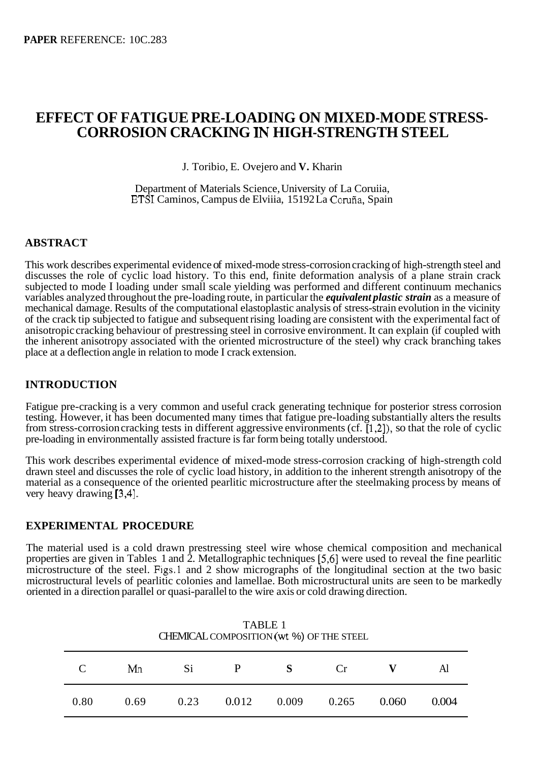# **EFFECT OF FATIGUE PRE-LOADING ON MIXED-MODE STRESS-CORROSION CRACKING IN HIGH-STRENGTH STEEL**

J. Toribio, E. Ovejero and **V.** Kharin

Department of Materials Science, University of La Coruiia, ETSI Caminos, Campus de Elviiia, 15192 La Corufia, Spain

### **ABSTRACT**

This work describes experimental evidence of mixed-mode stress-corrosion cracking of high-strength steel and discusses the role of cyclic load history. To this end, finite deformation analysis of a plane strain crack subjected to mode I loading under small scale yielding was performed and different continuum mechanics variables analyzed throughout the pre-loading route, in particular the *equivalent plastic strain* as a measure of mechanical damage. Results of the computational elastoplastic analysis of stress-strain evolution in the vicinity of the crack tip subjected to fatigue and subsequent rising loading are consistent with the experimental fact of anisotropic cracking behaviour of prestressing steel in corrosive environment. It can explain (if coupled with the inherent anisotropy associated with the oriented microstructure of the steel) why crack branching takes place at a deflection angle in relation to mode I crack extension.

### **INTRODUCTION**

Fatigue pre-cracking is a very common and useful crack generating technique for posterior stress corrosion testing. However, it has been documented many times that fatigue pre-loading substantially alters the results from stress-corrosion cracking tests in different aggressive environments (cf. [ 1,2]), so that the role of cyclic pre-loading in environmentally assisted fracture is far form being totally understood.

This work describes experimental evidence of mixed-mode stress-corrosion cracking of high-strength cold drawn steel and discusses the role of cyclic load history, in addition to the inherent strength anisotropy of the material as a consequence of the oriented pearlitic microstructure after the steelmaking process by means of very heavy drawing [3,4].

### **EXPERIMENTAL PROCEDURE**

The material used is a cold drawn prestressing steel wire whose chemical composition and mechanical properties are given in Tables 1 and 2. Metallographic techniques *[5,6]* were used to reveal the fine pearlitic microstructure of the steel. Figs.1 and 2 show micrographs of the longitudinal section at the two basic microstructural levels of pearlitic colonies and lamellae. Both microstructural units are seen to be markedly oriented in a direction parallel or quasi-parallel to the wire axis or cold drawing direction.

| CHEMICAL COMPOSITION (wt %) OF THE STEEL |      |      |       |       |       |       |       |  |  |  |
|------------------------------------------|------|------|-------|-------|-------|-------|-------|--|--|--|
| $\mathcal{C}_{\mathcal{C}}$              | Mn   | Si   | P     | S     | Cr    |       | Al    |  |  |  |
| 0.80                                     | 0.69 | 0.23 | 0.012 | 0.009 | 0.265 | 0.060 | 0.004 |  |  |  |

TABLE 1 CHEMICAL COMPOSITION (wt %) OF THE STEEL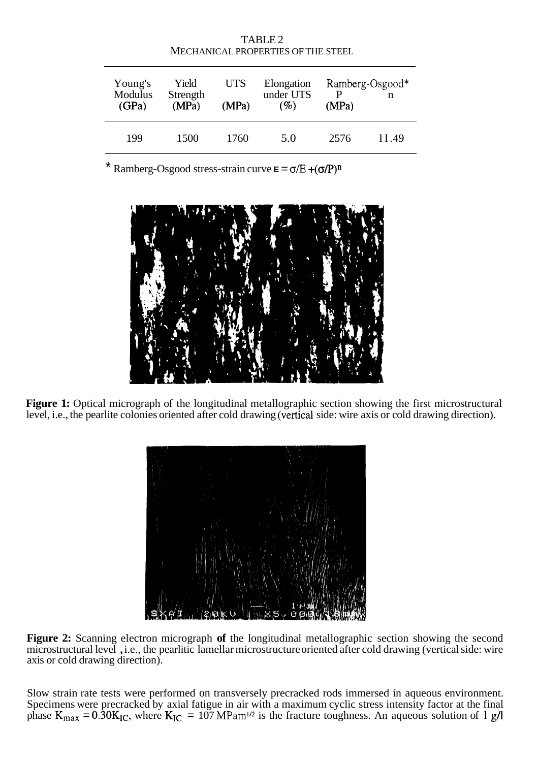| MECHANICAL PROPERTIES OF THE STEEL |                            |                     |                                   |       |                      |  |  |  |  |  |
|------------------------------------|----------------------------|---------------------|-----------------------------------|-------|----------------------|--|--|--|--|--|
| Young's<br>Modulus<br>(GPa)        | Yield<br>Strength<br>(MPa) | <b>UTS</b><br>(MPa) | Elongation<br>under UTS<br>$(\%)$ | (MPa) | Ramberg-Osgood*<br>n |  |  |  |  |  |
| 199                                | 1500                       | 1760                | 5.0                               | 2576  | 11.49                |  |  |  |  |  |

TABLE 2

 $\overline{R}$  Ramberg-Osgood stress-strain curve  $\overline{E} = \sigma/E + (\sigma/P)^n$ 



Figure 1: Optical micrograph of the longitudinal metallographic section showing the first microstructural level, i.e., the pearlite colonies oriented after cold drawing (vertical side: wire axis or cold drawing direction).



**Figure 2:** Scanning electron micrograph **of** the longitudinal metallographic section showing the second microstructural level , i.e., the pearlitic lamellar microstructure oriented after cold drawing (vertical side: wire axis or cold drawing direction).

Slow strain rate tests were performed on transversely precracked rods immersed in aqueous environment. Specimens were precracked by axial fatigue in air with a maximum cyclic stress intensity factor at the final phase  $K_{max} = 0.30 K_{IC}$ , where  $K_{IC} = 107 M_{Pam^{1/2}}$  is the fracture toughness. An aqueous solution of 1 g/l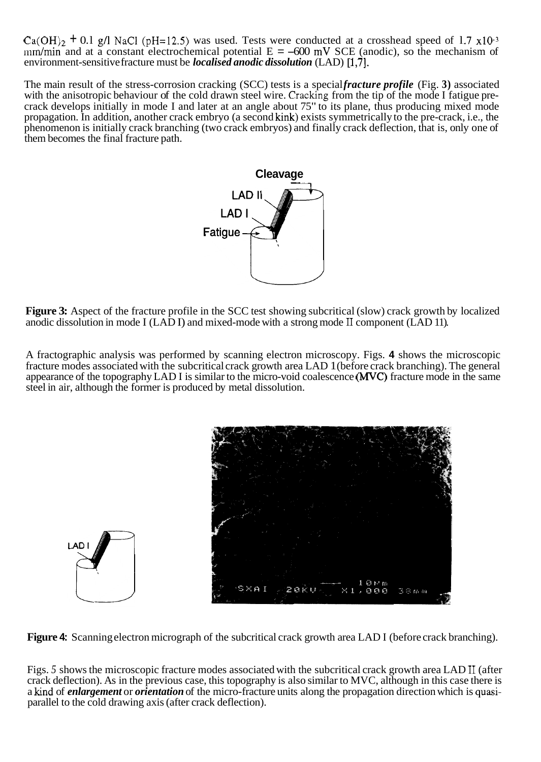$Ca(OH)_2 + 0.1$  g/l NaCl (pH=12.5) was used. Tests were conducted at a crosshead speed of 1.7 x10<sup>-3</sup> mm/min and at a constant electrochemical potential  $E = -600$  mV SCE (anodic), so the mechanism of environment-sensitive fracture must be *localised anodic dissolution* (LAD) [1,7].

The main result of the stress-corrosion cracking (SCC) tests is a special *fracture profile* (Fig. **3)** associated with the anisotropic behaviour of the cold drawn steel wire. Cracking from the tip of the mode I fatigue precrack develops initially in mode I and later at an angle about 75" to its plane, thus producing mixed mode propagation. In addition, another crack embryo (a second kink) exists symmetrically to the pre-crack, i.e., the phenomenon is initially crack branching (two crack embryos) and finally crack deflection, that is, only one of them becomes the final fracture path.



**Figure 3:** Aspect of the fracture profile in the SCC test showing subcritical (slow) crack growth by localized anodic dissolution in mode I (LAD I) and mixed-mode with a strong mode **II** component (LAD 11).

A fractographic analysis was performed by scanning electron microscopy. Figs. **4** shows the microscopic fracture modes associated with the subcritical crack growth area LAD 1 (before crack branching). The general appearance of the topography LAD I is similar to the micro-void coalescence (WC) fracture mode in the same steel in air, although the former is produced by metal dissolution.



**Figure 4:** Scanning electron micrograph of the subcritical crack growth area LAD I (before crack branching).

Figs. *5* shows the microscopic fracture modes associated with the subcritical crack growth area LAD I1 (after crack deflection). As in the previous case, this topography is also similar to MVC, although in this case there is a kind of *enlargement* or *orientation* of the micro-fracture units along the propagation direction which is quasiparallel to the cold drawing axis (after crack deflection).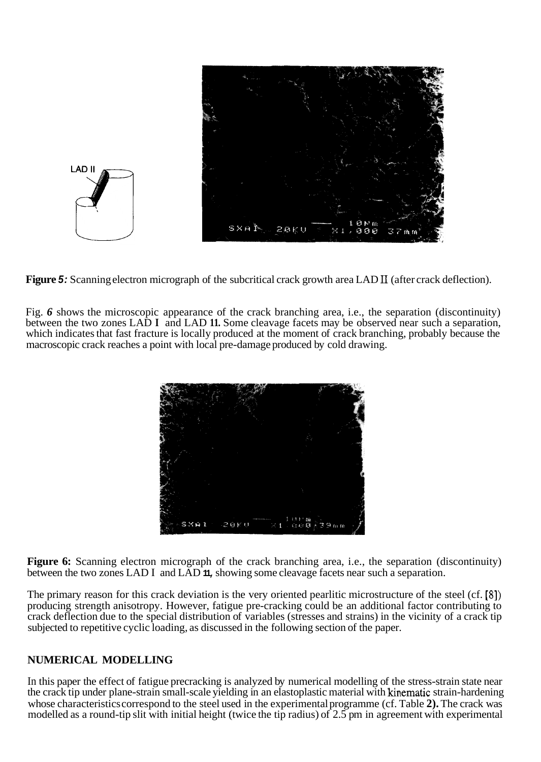

**Figure** *5:* Scanning electron micrograph of the subcritical crack growth area LAD **I1** (after crack deflection).

Fig. *6* shows the microscopic appearance of the crack branching area, i.e., the separation (discontinuity) between the two zones LAD **I** and LAD **11.** Some cleavage facets may be observed near such a separation, which indicates that fast fracture is locally produced at the moment of crack branching, probably because the macroscopic crack reaches a point with local pre-damage produced by cold drawing.



**Figure 6:** Scanning electron micrograph of the crack branching area, i.e., the separation (discontinuity) between the two zones LAD I and LAD **11,** showing some cleavage facets near such a separation.

The primary reason for this crack deviation is the very oriented pearlitic microstructure of the steel (cf. **[8])**  producing strength anisotropy. However, fatigue pre-cracking could be an additional factor contributing to crack deflection due to the special distribution of variables (stresses and strains) in the vicinity of a crack tip subjected to repetitive cyclic loading, as discussed in the following section of the paper.

### **NUMERICAL MODELLING**

In this paper the effect of fatigue precracking is analyzed by numerical modelling of the stress-strain state near the crack tip under plane-strain small-scale yielding in an elastoplastic material with kinematic strain-hardening whose characteristics correspond to the steel used in the experimental programme (cf. Table **2).** The crack was modelled as a round-tip slit with initial height (twice the tip radius) of 2.5 pm in agreement with experimental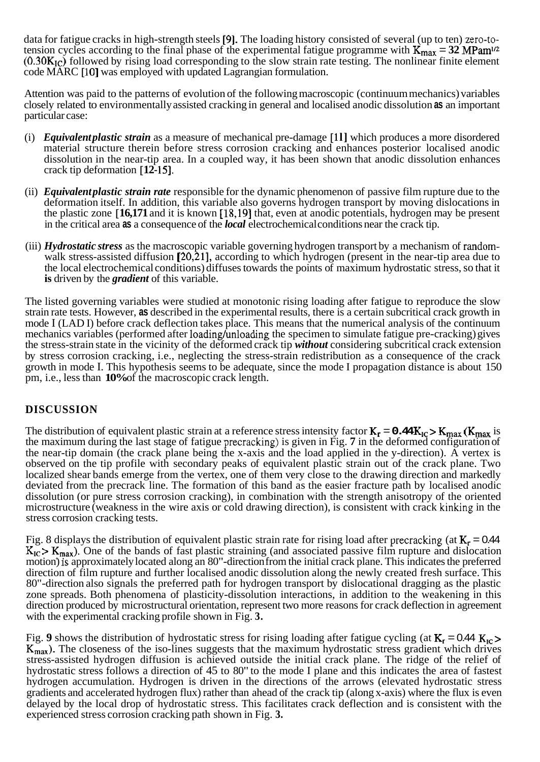data for fatigue cracks in high-strength steels **[9].** The loading history consisted of several (up to ten) zero-totension cycles according to the final phase of the experimental fatigue programme with  $\mathbf{K}_{\text{max}} = 32 \text{ MPam}^{1/2}$ **(0.30K1c)** followed by rising load corresponding to the slow strain rate testing. The nonlinear finite element code MARC [ **101** was employed with updated Lagrangian formulation.

Attention was paid to the patterns of evolution of the following macroscopic (continuum mechanics) variables closely related to environmentally assisted cracking in general and localised anodic dissolution **as** an important particular case:

- (i) *Equivalent plastic strain* as a measure of mechanical pre-damage [ **1 l]** which produces a more disordered material structure therein before stress corrosion cracking and enhances posterior localised anodic dissolution in the near-tip area. In a coupled way, it has been shown that anodic dissolution enhances crack tip deformation [12-15].
- (ii) *Equivalent plastic strain rate* responsible for the dynamic phenomenon of passive film rupture due to the deformation itself. In addition, this variable also governs hydrogen transport by moving dislocations in the plastic zone [ **16,171** and it is known [ **18,191** that, even at anodic potentials, hydrogen may be present in the critical area **as** a consequence of the *local* electrochemical conditions near the crack tip.
- (iii) *Hydrostatic stress* as the macroscopic variable governing hydrogen transport by a mechanism of randomwalk stress-assisted diffusion **[20,21],** according to which hydrogen (present in the near-tip area due to the local electrochemical conditions) diffuses towards the points of maximum hydrostatic stress, so that it **is** driven by the *gradient* of this variable.

The listed governing variables were studied at monotonic rising loading after fatigue to reproduce the slow strain rate tests. However, **as** described in the experimental results, there is a certain subcritical crack growth in mode I (LAD I) before crack deflection takes place. This means that the numerical analysis of the continuum mechanics variables (performed after loading/unloading the specimen to simulate fatigue pre-cracking) gives the stress-strain state in the vicinity of the deformed crack tip *without* considering subcritical crack extension by stress corrosion cracking, i.e., neglecting the stress-strain redistribution as a consequence of the crack growth in mode I. This hypothesis seems to be adequate, since the mode I propagation distance is about 150 pm, i.e., less than **10%** of the macroscopic crack length.

## **DISCUSSION**

The distribution of equivalent plastic strain at a reference stress intensity factor  $K_r = 0.44 K_{IC} > K_{max}$  ( $K_{max}$  is the maximum during the last stage of fatigue precracking) is given in Fig. **7** in the deformed configuration of the near-tip domain (the crack plane being the x-axis and the load applied in the y-direction). A vertex is observed on the tip profile with secondary peaks of equivalent plastic strain out of the crack plane. Two localized shear bands emerge from the vertex, one of them very close to the drawing direction and markedly deviated from the precrack line. The formation of this band as the easier fracture path by localised anodic dissolution (or pure stress corrosion cracking), in combination with the strength anisotropy of the oriented microstructure (weakness in the wire axis or cold drawing direction), is consistent with crack kinking in the stress corrosion cracking tests.

Fig. 8 displays the distribution of equivalent plastic strain rate for rising load after precracking (at  $K_r = 0.44$ )  $K_{IC}$  >  $K_{max}$ ). One of the bands of fast plastic straining (and associated passive film rupture and dislocation motion) **1s** approximately located along an 80"-direction from the initial crack plane. This indicates the preferred direction of film rupture and further localised anodic dissolution along the newly created fresh surface. This 80"-direction also signals the preferred path for hydrogen transport by dislocational dragging as the plastic zone spreads. Both phenomena of plasticity-dissolution interactions, in addition to the weakening in this direction produced by microstructural orientation, represent two more reasons for crack deflection in agreement with the experimental cracking profile shown in Fig. **3.** 

Fig. 9 shows the distribution of hydrostatic stress for rising loading after fatigue cycling (at  $K_r = 0.44 K_{IC}$ ) **Kmax).** The closeness of the iso-lines suggests that the maximum hydrostatic stress gradient which drives stress-assisted hydrogen diffusion is achieved outside the initial crack plane. The ridge of the relief of hydrostatic stress follows a direction of 45 to 80" to the mode I plane and this indicates the area of fastest hydrogen accumulation. Hydrogen is driven in the directions of the arrows (elevated hydrostatic stress gradients and accelerated hydrogen flux) rather than ahead of the crack tip (along x-axis) where the flux is even delayed by the local drop of hydrostatic stress. This facilitates crack deflection and is consistent with the experienced stress corrosion cracking path shown in Fig. **3.**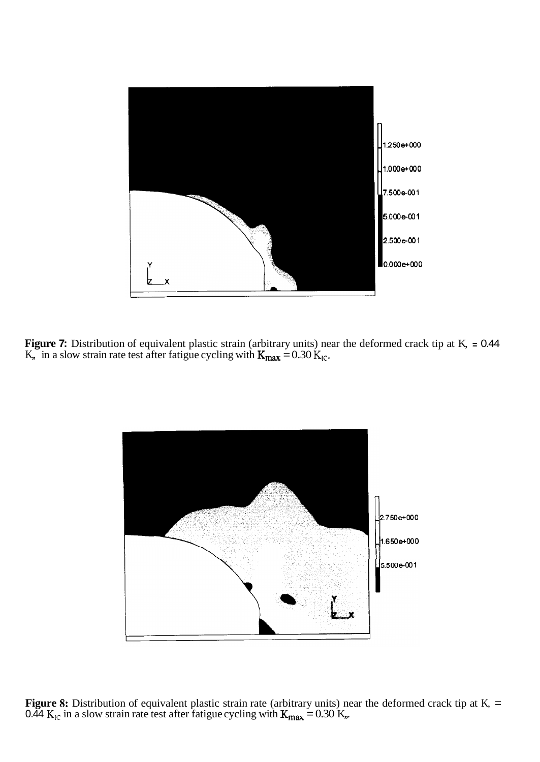

**Figure 7:** Distribution of equivalent plastic strain (arbitrary units) near the deformed crack tip at K, = 0.44 K, in a slow strain rate test after fatigue cycling with  $K_{\text{max}} = 0.30 K_{\text{IC}}$ .



**Figure 8:** Distribution of equivalent plastic strain rate (arbitrary units) near the deformed crack tip at K, = 0.44  $K_{IC}$  in a slow strain rate test after fatigue cycling with  $K_{max} = 0.30$  K,...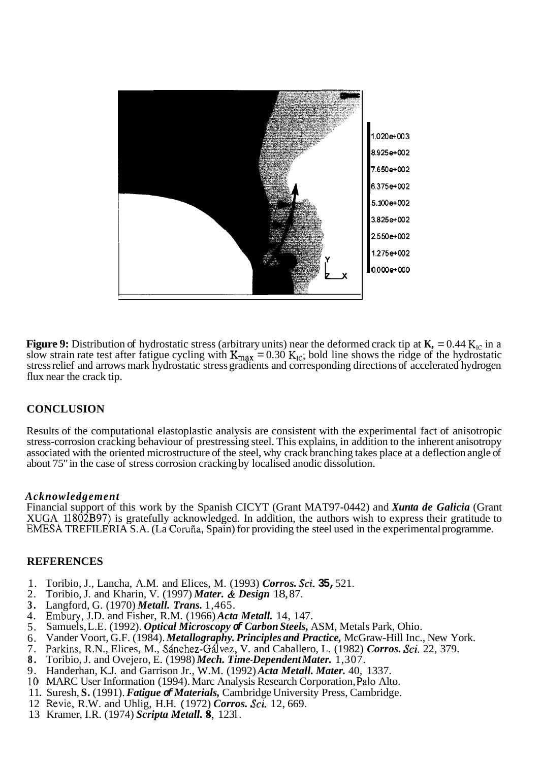

**Figure 9:** Distribution of hydrostatic stress (arbitrary units) near the deformed crack tip at  $\mathbf{K}_1 = 0.44 \, \text{K}_{1C}$  in a slow strain rate test after fatigue cycling with  $K_{\text{max}} = 0.30$   $K_{\text{IC}}$ ; bold line shows the ridge of the hydrostatic stress relief and arrows mark hydrostatic stress gradients and corresponding directions of accelerated hydrogen flux near the crack tip.

#### **CONCLUSION**

Results of the computational elastoplastic analysis are consistent with the experimental fact of anisotropic stress-corrosion cracking behaviour of prestressing steel. This explains, in addition to the inherent anisotropy associated with the oriented microstructure of the steel, why crack branching takes place at a deflection angle of about 75" in the case of stress corrosion cracking by localised anodic dissolution.

#### *Acknowledgement*

Financial support of this work by the Spanish CICYT (Grant MAT97-0442) and *Xunta de Galicia* (Grant XUGA 11802B97) is gratefully acknowledged. In addition, the authors wish to express their gratitude to EMESA TREFILERIA S.A. (La Corufia, Spain) for providing the steel used in the experimental programme.

#### **REFERENCES**

- 1. Toribio, J., Lancha, A.M. and Elices, M. (1993) *Corros. Sci.* **35,** 521.
- 2. Toribio, J. and Kharin, V. (1997) *Mater.* & *Design* 18, 87.
- **3.**  Langford, G. (1970) *Metall. Trans.* 1,465.
- 4. Embury, J.D. and Fisher, R.M. (1966) *Acta Metall.* 14, 147.
- 5. Samuels, L.E. (1992). *Optical Microscopy of Carbon Steels,* ASM, Metals Park, Ohio.
- 6. Vander Voort, G.F. (1984). *Metallography. Principles and Practice,* McGraw-Hill Inc., New York.
- 7. Parkins, R.N., Elices, M., Sánchez-Gálvez, V. and Caballero, L. (1982) *Corros. Sci.* 22, 379.
- **8.**  Toribio, J. and Ovejero, E. (1998) *Mech. Time-Dependent Mater.* 1,307.
- 9. Handerhan, K.J. and Garrison Jr., W.M. (1992) *Acta Metall. Mater.* 40, 1337.
- 10 MARC User Information (1994). Marc Analysis Research Corporation, Palo Alto.
- 11. Suresh, S. (1991). *Fatigue of Materials*, Cambridge University Press, Cambridge.
- 12 Revie, R.W. and Uhlig, H.H. ( 1972) *Corros. Sci.* 12, 669.
- 13 Kramer, I.R. (1974) *Scripta Metall.* **8,** 123 l.